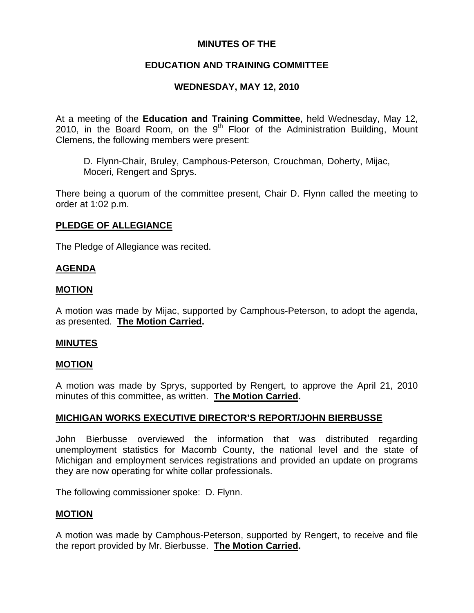## **MINUTES OF THE**

## **EDUCATION AND TRAINING COMMITTEE**

## **WEDNESDAY, MAY 12, 2010**

At a meeting of the **Education and Training Committee**, held Wednesday, May 12, 2010, in the Board Room, on the  $9<sup>th</sup>$  Floor of the Administration Building, Mount Clemens, the following members were present:

D. Flynn-Chair, Bruley, Camphous-Peterson, Crouchman, Doherty, Mijac, Moceri, Rengert and Sprys.

There being a quorum of the committee present, Chair D. Flynn called the meeting to order at 1:02 p.m.

## **PLEDGE OF ALLEGIANCE**

The Pledge of Allegiance was recited.

#### **AGENDA**

#### **MOTION**

A motion was made by Mijac, supported by Camphous-Peterson, to adopt the agenda, as presented. **The Motion Carried.** 

#### **MINUTES**

#### **MOTION**

A motion was made by Sprys, supported by Rengert, to approve the April 21, 2010 minutes of this committee, as written. **The Motion Carried.** 

## **MICHIGAN WORKS EXECUTIVE DIRECTOR'S REPORT/JOHN BIERBUSSE**

John Bierbusse overviewed the information that was distributed regarding unemployment statistics for Macomb County, the national level and the state of Michigan and employment services registrations and provided an update on programs they are now operating for white collar professionals.

The following commissioner spoke: D. Flynn.

## **MOTION**

A motion was made by Camphous-Peterson, supported by Rengert, to receive and file the report provided by Mr. Bierbusse. **The Motion Carried.**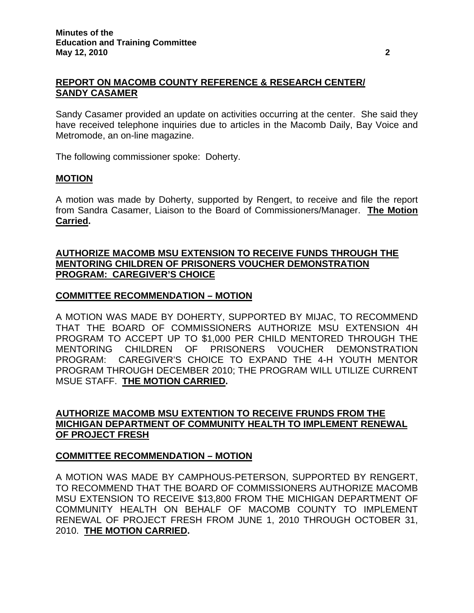## **REPORT ON MACOMB COUNTY REFERENCE & RESEARCH CENTER/ SANDY CASAMER**

Sandy Casamer provided an update on activities occurring at the center. She said they have received telephone inquiries due to articles in the Macomb Daily, Bay Voice and Metromode, an on-line magazine.

The following commissioner spoke: Doherty.

## **MOTION**

A motion was made by Doherty, supported by Rengert, to receive and file the report from Sandra Casamer, Liaison to the Board of Commissioners/Manager. **The Motion Carried.** 

#### **AUTHORIZE MACOMB MSU EXTENSION TO RECEIVE FUNDS THROUGH THE MENTORING CHILDREN OF PRISONERS VOUCHER DEMONSTRATION PROGRAM: CAREGIVER'S CHOICE**

#### **COMMITTEE RECOMMENDATION – MOTION**

A MOTION WAS MADE BY DOHERTY, SUPPORTED BY MIJAC, TO RECOMMEND THAT THE BOARD OF COMMISSIONERS AUTHORIZE MSU EXTENSION 4H PROGRAM TO ACCEPT UP TO \$1,000 PER CHILD MENTORED THROUGH THE MENTORING CHILDREN OF PRISONERS VOUCHER DEMONSTRATION PROGRAM: CAREGIVER'S CHOICE TO EXPAND THE 4-H YOUTH MENTOR PROGRAM THROUGH DECEMBER 2010; THE PROGRAM WILL UTILIZE CURRENT MSUE STAFF. **THE MOTION CARRIED.** 

#### **AUTHORIZE MACOMB MSU EXTENTION TO RECEIVE FRUNDS FROM THE MICHIGAN DEPARTMENT OF COMMUNITY HEALTH TO IMPLEMENT RENEWAL OF PROJECT FRESH**

## **COMMITTEE RECOMMENDATION – MOTION**

A MOTION WAS MADE BY CAMPHOUS-PETERSON, SUPPORTED BY RENGERT, TO RECOMMEND THAT THE BOARD OF COMMISSIONERS AUTHORIZE MACOMB MSU EXTENSION TO RECEIVE \$13,800 FROM THE MICHIGAN DEPARTMENT OF COMMUNITY HEALTH ON BEHALF OF MACOMB COUNTY TO IMPLEMENT RENEWAL OF PROJECT FRESH FROM JUNE 1, 2010 THROUGH OCTOBER 31, 2010. **THE MOTION CARRIED.**